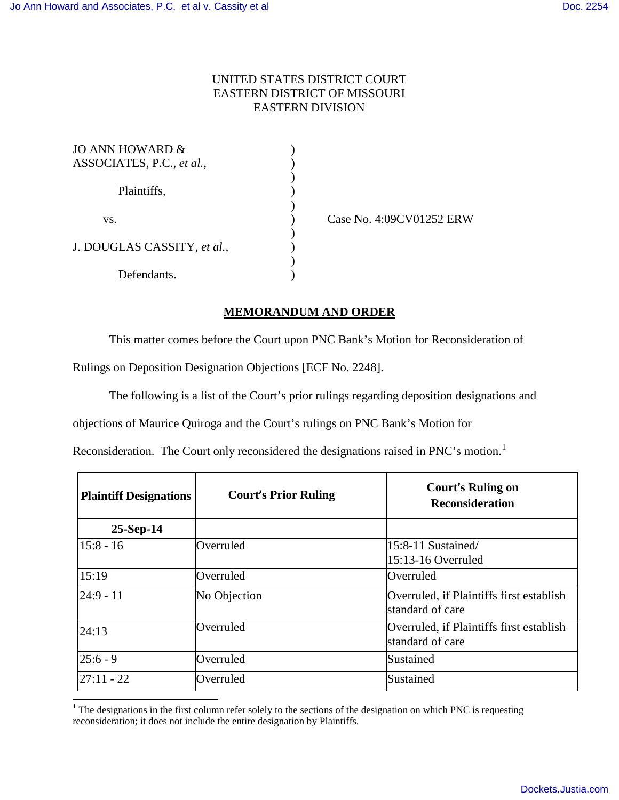## UNITED STATES DISTRICT COURT EASTERN DISTRICT OF MISSOURI EASTERN DIVISION

| JO ANN HOWARD &             |  |
|-----------------------------|--|
| ASSOCIATES, P.C., et al.,   |  |
|                             |  |
| Plaintiffs,                 |  |
|                             |  |
| VS.                         |  |
|                             |  |
| J. DOUGLAS CASSITY, et al., |  |
|                             |  |
| Defendants.                 |  |

 $\overline{a}$ 

) Case No. 4:09CV01252 ERW

## **MEMORANDUM AND ORDER**

This matter comes before the Court upon PNC Bank's Motion for Reconsideration of

Rulings on Deposition Designation Objections [ECF No. 2248].

The following is a list of the Court's prior rulings regarding deposition designations and

objections of Maurice Quiroga and the Court's rulings on PNC Bank's Motion for

Reconsideration. The Court only reconsidered the designations raised in PNC's motion.<sup>[1](#page-0-0)</sup>

| <b>Plaintiff Designations</b> | <b>Court's Prior Ruling</b> | <b>Court's Ruling on</b><br><b>Reconsideration</b>           |
|-------------------------------|-----------------------------|--------------------------------------------------------------|
| $25-Sep-14$                   |                             |                                                              |
| $15:8 - 16$                   | Overruled                   | 15:8-11 Sustained/<br>15:13-16 Overruled                     |
| 15:19                         | Overruled                   | Overruled                                                    |
| $24:9 - 11$                   | No Objection                | Overruled, if Plaintiffs first establish<br>standard of care |
| 24:13                         | Overruled                   | Overruled, if Plaintiffs first establish<br>standard of care |
| $25:6 - 9$                    | Overruled                   | Sustained                                                    |
| $27:11 - 22$                  | Overruled                   | Sustained                                                    |

<span id="page-0-0"></span> $1$  The designations in the first column refer solely to the sections of the designation on which PNC is requesting reconsideration; it does not include the entire designation by Plaintiffs.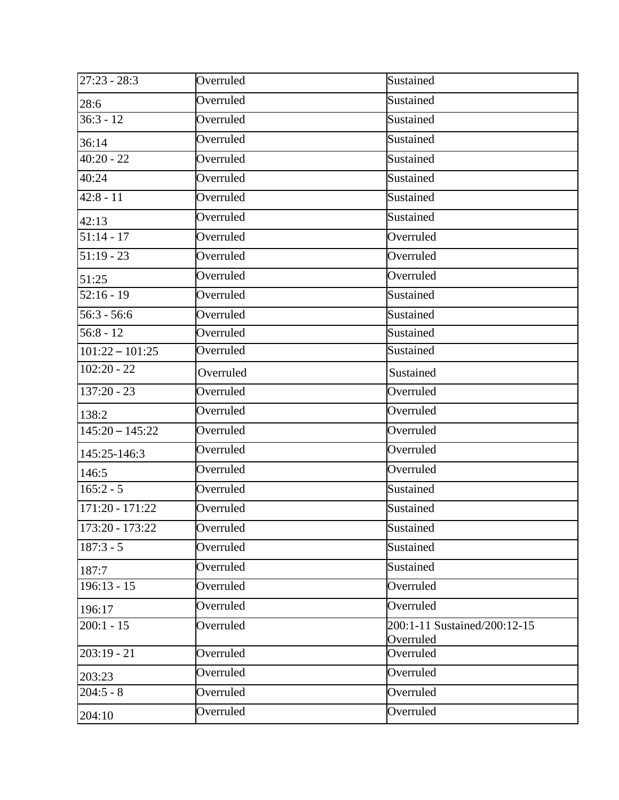| $27:23 - 28:3$    | Overruled | Sustained                                 |
|-------------------|-----------|-------------------------------------------|
| 28:6              | Overruled | Sustained                                 |
| $36:3 - 12$       | Overruled | Sustained                                 |
| 36:14             | Overruled | Sustained                                 |
| $40:20 - 22$      | Overruled | Sustained                                 |
| 40:24             | Overruled | Sustained                                 |
| $42:8 - 11$       | Overruled | Sustained                                 |
| 42:13             | Overruled | Sustained                                 |
| $51:14 - 17$      | Overruled | Overruled                                 |
| $51:19 - 23$      | Overruled | Overruled                                 |
| 51:25             | Overruled | Overruled                                 |
| $52:16 - 19$      | Overruled | Sustained                                 |
| $56:3 - 56:6$     | Overruled | Sustained                                 |
| $56:8 - 12$       | Overruled | Sustained                                 |
| $101:22 - 101:25$ | Overruled | Sustained                                 |
| $102:20 - 22$     | Overruled | Sustained                                 |
| $137:20 - 23$     | Overruled | Overruled                                 |
| 138:2             | Overruled | Overruled                                 |
| $145:20 - 145:22$ | Overruled | Overruled                                 |
| 145:25-146:3      | Overruled | Overruled                                 |
| 146:5             | Overruled | Overruled                                 |
| $165:2 - 5$       | Overruled | Sustained                                 |
| $171:20 - 171:22$ | Overruled | Sustained                                 |
| $173:20 - 173:22$ | Overruled | Sustained                                 |
| $187:3 - 5$       | Overruled | Sustained                                 |
| 187:7             | Overruled | Sustained                                 |
| $196:13 - 15$     | Overruled | Overruled                                 |
| 196:17            | Overruled | Overruled                                 |
| $200:1 - 15$      | Overruled | 200:1-11 Sustained/200:12-15<br>Overruled |
| $203:19 - 21$     | Overruled | Overruled                                 |
| 203:23            | Overruled | Overruled                                 |
| $204:5 - 8$       | Overruled | Overruled                                 |
| 204:10            | Overruled | Overruled                                 |